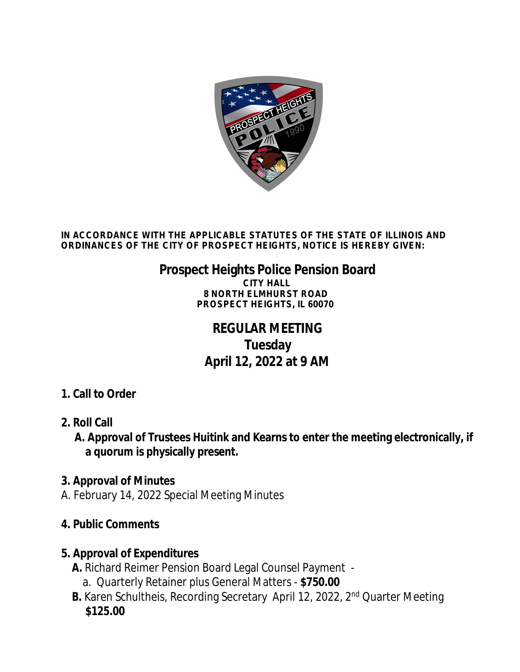

**IN ACCORDANCE WITH THE APPLICABLE STATUTES OF THE STATE OF ILLINOIS AND ORDINANCES OF THE CITY OF PROSPECT HEIGHTS, NOTICE IS HEREBY GIVEN:**

# **Prospect Heights Police Pension Board**

**CITY HALL 8 NORTH ELMHURST ROAD PROSPECT HEIGHTS, IL 60070**

## **REGULAR MEETING Tuesday April 12, 2022 at 9 AM**

#### **1. Call to Order**

**2. Roll Call**

 **A. Approval of Trustees Huitink and Kearns to enter the meeting electronically, if a quorum is physically present.**

#### **3. Approval of Minutes**

A. February 14, 2022 Special Meeting Minutes

#### **4. Public Comments**

#### **5. Approval of Expenditures**

- **A.** Richard Reimer Pension Board Legal Counsel Payment
	- a. Quarterly Retainer plus General Matters **\$750.00**
- **B.** Karen Schultheis, Recording Secretary April 12, 2022, 2<sup>nd</sup> Quarter Meeting **\$125.00**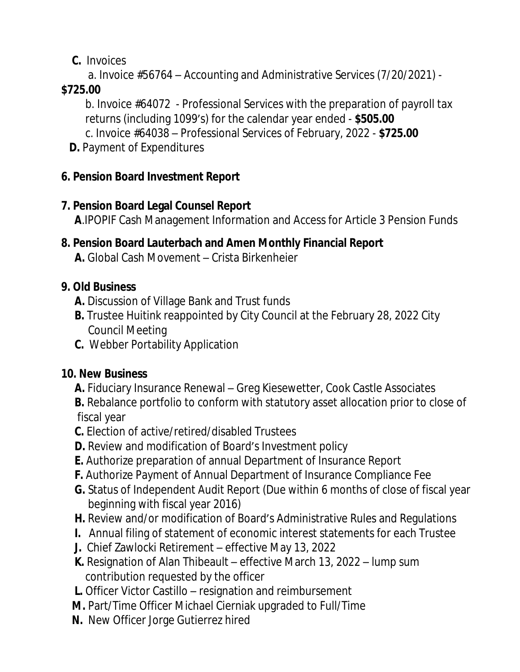### **C.** Invoices

a. Invoice #56764 – Accounting and Administrative Services (7/20/2021) -

#### **\$725.00**

b. Invoice #64072 - Professional Services with the preparation of payroll tax returns (including 1099's) for the calendar year ended - **\$505.00** c. Invoice #64038 – Professional Services of February, 2022 - **\$725.00**

**D. Payment of Expenditures** 

## **6. Pension Board Investment Report**

#### **7. Pension Board Legal Counsel Report**

**A**.IPOPIF Cash Management Information and Access for Article 3 Pension Funds

#### **8. Pension Board Lauterbach and Amen Monthly Financial Report A.** Global Cash Movement – Crista Birkenheier

#### **9. Old Business**

- **A.** Discussion of Village Bank and Trust funds
- **B.** Trustee Huitink reappointed by City Council at the February 28, 2022 City Council Meeting
- **C.** Webber Portability Application

## **10. New Business**

- **A.** Fiduciary Insurance Renewal Greg Kiesewetter, Cook Castle Associates
- **B.** Rebalance portfolio to conform with statutory asset allocation prior to close of fiscal year
- **C.** Election of active/retired/disabled Trustees
- **D.** Review and modification of Board's Investment policy
- **E.** Authorize preparation of annual Department of Insurance Report
- **F.** Authorize Payment of Annual Department of Insurance Compliance Fee
- **G.** Status of Independent Audit Report (Due within 6 months of close of fiscal year beginning with fiscal year 2016)
- **H.** Review and/or modification of Board's Administrative Rules and Regulations
- **I.** Annual filing of statement of economic interest statements for each Trustee
- **J.** Chief Zawlocki Retirement effective May 13, 2022
- **K.** Resignation of Alan Thibeault effective March 13, 2022 lump sum contribution requested by the officer
- **L.** Officer Victor Castillo resignation and reimbursement
- **M.** Part/Time Officer Michael Cierniak upgraded to Full/Time
- **N.** New Officer Jorge Gutierrez hired